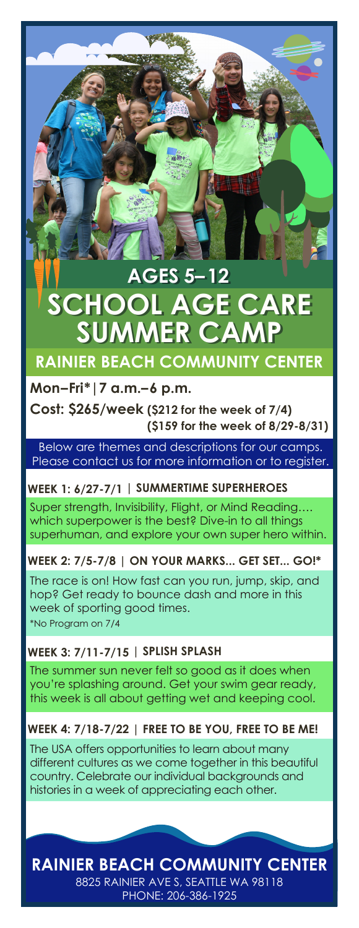# **SUMMER CA AGES 5–12 AGES 5–12 SCHOOL AGE CARE**

# **RAINIER BEACH COMMUNITY CENTER**

## **Mon–Fri\*|7 a.m.–6 p.m.**

**Cost: \$265/week (\$212 for the week of 7/4) (\$159 for the week of 8/29-8/31)**

Below are themes and descriptions for our camps. Please contact us for more information or to register.

## **WEEK 1: 6/27-7/1 | SUMMERTIME SUPERHEROES**

Super strength, Invisibility, Flight, or Mind Reading…. which superpower is the best? Dive-in to all things superhuman, and explore your own super hero within.

**WEEK 2: 7/5-7/8 | ON YOUR MARKS... GET SET... GO!\***

\*No Program on 7/4 The race is on! How fast can you run, jump, skip, and hop? Get ready to bounce dash and more in this week of sporting good times.

# **WEEK 3: 7/11-7/15 | SPLISH SPLASH**

The summer sun never felt so good as it does when you're splashing around. Get your swim gear ready, this week is all about getting wet and keeping cool.

# **WEEK 4: 7/18-7/22 | FREE TO BE YOU, FREE TO BE ME!**

The USA offers opportunities to learn about many different cultures as we come together in this beautiful country. Celebrate our individual backgrounds and histories in a week of appreciating each other.

8825 RAINIER AVE S, SEATTLE WA 98118 **RAINIER BEACH COMMUNITY CENTER**

PHONE: 206-386-1925